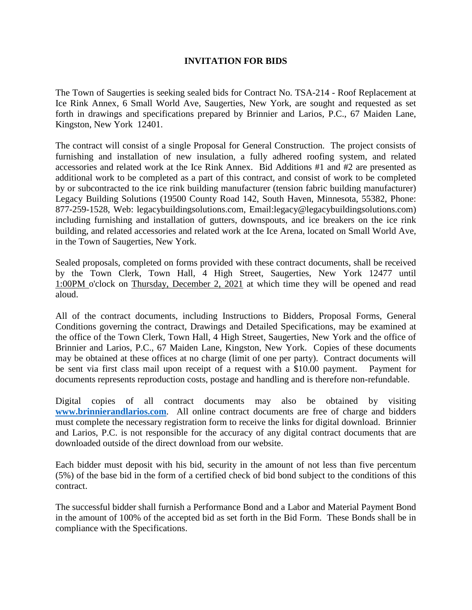## **INVITATION FOR BIDS**

The Town of Saugerties is seeking sealed bids for Contract No. TSA-214 - Roof Replacement at Ice Rink Annex, 6 Small World Ave, Saugerties, New York, are sought and requested as set forth in drawings and specifications prepared by Brinnier and Larios, P.C., 67 Maiden Lane, Kingston, New York 12401.

The contract will consist of a single Proposal for General Construction. The project consists of furnishing and installation of new insulation, a fully adhered roofing system, and related accessories and related work at the Ice Rink Annex. Bid Additions #1 and #2 are presented as additional work to be completed as a part of this contract, and consist of work to be completed by or subcontracted to the ice rink building manufacturer (tension fabric building manufacturer) Legacy Building Solutions (19500 County Road 142, South Haven, Minnesota, 55382, Phone: 877-259-1528, Web: legacybuildingsolutions.com, Email:legacy@legacybuildingsolutions.com) including furnishing and installation of gutters, downspouts, and ice breakers on the ice rink building, and related accessories and related work at the Ice Arena, located on Small World Ave, in the Town of Saugerties, New York.

Sealed proposals, completed on forms provided with these contract documents, shall be received by the Town Clerk, Town Hall, 4 High Street, Saugerties, New York 12477 until 1:00PM o'clock on Thursday, December 2, 2021 at which time they will be opened and read aloud.

All of the contract documents, including Instructions to Bidders, Proposal Forms, General Conditions governing the contract, Drawings and Detailed Specifications, may be examined at the office of the Town Clerk, Town Hall, 4 High Street, Saugerties, New York and the office of Brinnier and Larios, P.C., 67 Maiden Lane, Kingston, New York. Copies of these documents may be obtained at these offices at no charge (limit of one per party). Contract documents will be sent via first class mail upon receipt of a request with a \$10.00 payment. Payment for documents represents reproduction costs, postage and handling and is therefore non-refundable.

Digital copies of all contract documents may also be obtained by visiting **[www.brinnierandlarios.com](http://www.brinnierandlarios.com/)**. All online contract documents are free of charge and bidders must complete the necessary registration form to receive the links for digital download. Brinnier and Larios, P.C. is not responsible for the accuracy of any digital contract documents that are downloaded outside of the direct download from our website.

Each bidder must deposit with his bid, security in the amount of not less than five percentum (5%) of the base bid in the form of a certified check of bid bond subject to the conditions of this contract.

The successful bidder shall furnish a Performance Bond and a Labor and Material Payment Bond in the amount of 100% of the accepted bid as set forth in the Bid Form. These Bonds shall be in compliance with the Specifications.